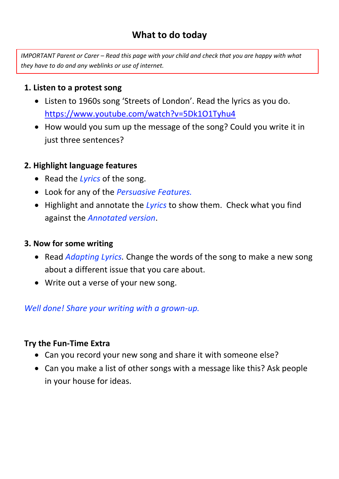## **What to do today**

*IMPORTANT Parent or Carer – Read this page with your child and check that you are happy with what they have to do and any weblinks or use of internet.* 

#### **1. Listen to a protest song**

- Listen to 1960s song 'Streets of London'. Read the lyrics as you do. <https://www.youtube.com/watch?v=5Dk1O1Tyhu4>
- How would you sum up the message of the song? Could you write it in just three sentences?

#### **2. Highlight language features**

- Read the *Lyrics* of the song.
- Look for any of the *Persuasive Features.*
- Highlight and annotate the *Lyrics* to show them. Check what you find against the *Annotated version*.

#### **3. Now for some writing**

- Read *Adapting Lyrics*. Change the words of the song to make a new song about a different issue that you care about.
- Write out a verse of your new song.

#### *Well done! Share your writing with a grown-up.*

#### **Try the Fun-Time Extra**

- Can you record your new song and share it with someone else?
- Can you make a list of other songs with a message like this? Ask people in your house for ideas.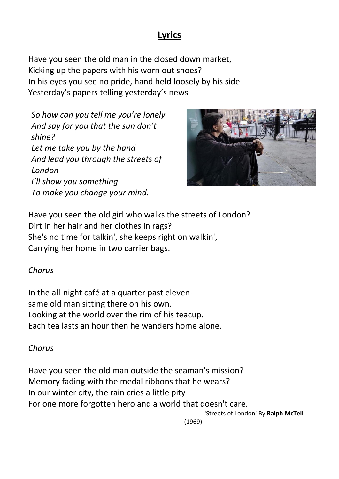## **Lyrics**

Have you seen the old man in the closed down market, Kicking up the papers with his worn out shoes? In his eyes you see no pride, hand held loosely by his side Yesterday's papers telling yesterday's news

*So how can you tell me you're lonely And say for you that the sun don't shine? Let me take you by the hand And lead you through the streets of London I'll show you something To make you change your mind.*



Have you seen the old girl who walks the streets of London? Dirt in her hair and her clothes in rags? She's no time for talkin', she keeps right on walkin', Carrying her home in two carrier bags.

#### *Chorus*

In the all-night café at a quarter past eleven same old man sitting there on his own. Looking at the world over the rim of his teacup. Each tea lasts an hour then he wanders home alone.

## *Chorus*

Have you seen the old man outside the seaman's mission? Memory fading with the medal ribbons that he wears? In our winter city, the rain cries a little pity For one more forgotten hero and a world that doesn't care. 'Streets of London' By **Ralph McTell**

(1969)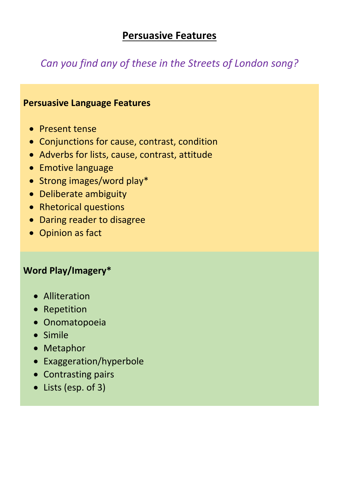## **Persuasive Features**

*Can you find any of these in the Streets of London song?*

### **Persuasive Language Features**

- Present tense
- Conjunctions for cause, contrast, condition
- Adverbs for lists, cause, contrast, attitude
- **•** Emotive language
- Strong images/word play\*
- Deliberate ambiguity
- Rhetorical questions
- Daring reader to disagree
- Opinion as fact

## **Word Play/Imagery\***

- Alliteration
- Repetition
- Onomatopoeia
- Simile
- Metaphor
- Exaggeration/hyperbole
- Contrasting pairs
- Lists (esp. of 3)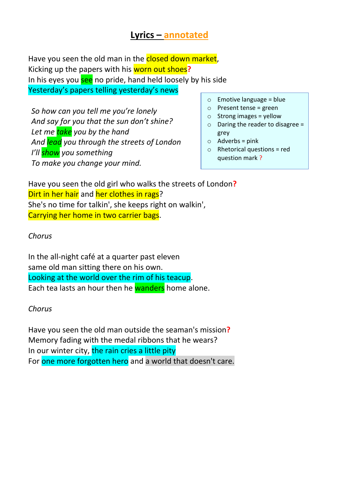## **Lyrics – annotated**

Have you seen the old man in the **closed down market**, Kicking up the papers with his worn out shoes**?** In his eyes you see no pride, hand held loosely by his side Yesterday's papers telling yesterday's news

*So how can you tell me you're lonely And say for you that the sun don't shine? Let me take you by the hand And lead you through the streets of London I'll show you something To make you change your mind.*

- $\circ$  Emotive language = blue
- o Present tense = green
- $\circ$  Strong images = yellow
- $\circ$  Daring the reader to disagree = grey
- $\circ$  Adverbs = pink
- $\circ$  Rhetorical questions = red question mark ?

Have you seen the old girl who walks the streets of London**?** Dirt in her hair and her clothes in rags? She's no time for talkin', she keeps right on walkin', Carrying her home in two carrier bags.

*Chorus*

In the all-night café at a quarter past eleven same old man sitting there on his own. Looking at the world over the rim of his teacup. Each tea lasts an hour then he wanders home alone.

*Chorus*

Have you seen the old man outside the seaman's mission**?** Memory fading with the medal ribbons that he wears? In our winter city, the rain cries a little pity For one more forgotten hero and a world that doesn't care.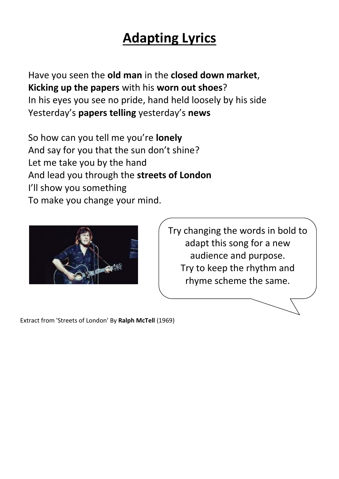# **Adapting Lyrics**

Have you seen the **old man** in the **closed down market**, **Kicking up the papers** with his **worn out shoes**? In his eyes you see no pride, hand held loosely by his side Yesterday's **papers telling** yesterday's **news**

So how can you tell me you're **lonely** And say for you that the sun don't shine? Let me take you by the hand And lead you through the **streets of London** I'll show you something To make you change your mind.



Try changing the words in bold to adapt this song for a new audience and purpose. Try to keep the rhythm and rhyme scheme the same.

Extract from 'Streets of London' By **Ralph McTell** (1969)